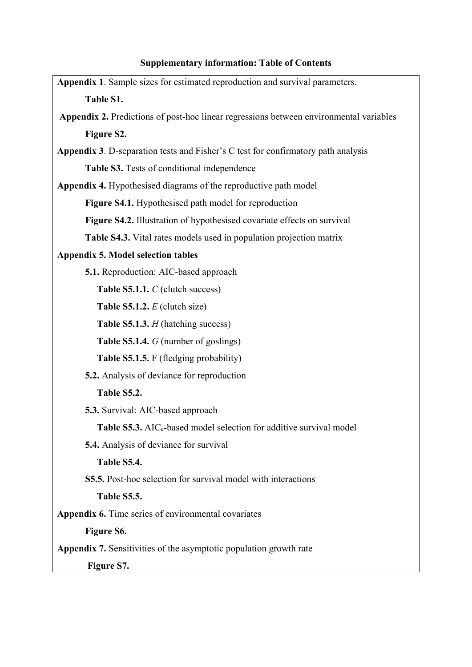# **Supplementary information: Table of Contents**

| Appendix 1. Sample sizes for estimated reproduction and survival parameters.           |
|----------------------------------------------------------------------------------------|
| Table S1.                                                                              |
| Appendix 2. Predictions of post-hoc linear regressions between environmental variables |
| Figure S2.                                                                             |
| Appendix 3. D-separation tests and Fisher's C test for confirmatory path analysis      |
| Table S3. Tests of conditional independence                                            |
| Appendix 4. Hypothesised diagrams of the reproductive path model                       |
| <b>Figure S4.1.</b> Hypothesised path model for reproduction                           |
| Figure S4.2. Illustration of hypothesised covariate effects on survival                |
| Table S4.3. Vital rates models used in population projection matrix                    |
| <b>Appendix 5. Model selection tables</b>                                              |
| <b>5.1.</b> Reproduction: AIC-based approach                                           |
| Table S5.1.1. C (clutch success)                                                       |
| <b>Table S5.1.2.</b> $E$ (clutch size)                                                 |
| Table S5.1.3. H (hatching success)                                                     |
| Table S5.1.4. G (number of goslings)                                                   |
| Table S5.1.5. F (fledging probability)                                                 |
| <b>5.2.</b> Analysis of deviance for reproduction                                      |
| Table S5.2.                                                                            |
| 5.3. Survival: AIC-based approach                                                      |
| Table S5.3. AIC <sub>c</sub> -based model selection for additive survival model        |
| <b>5.4.</b> Analysis of deviance for survival                                          |
| Table S5.4.                                                                            |
| <b>S5.5.</b> Post-hoc selection for survival model with interactions                   |
| Table S5.5.                                                                            |
| Appendix 6. Time series of environmental covariates                                    |
| Figure S6.                                                                             |
| <b>Appendix 7.</b> Sensitivities of the asymptotic population growth rate              |
| Figure S7.                                                                             |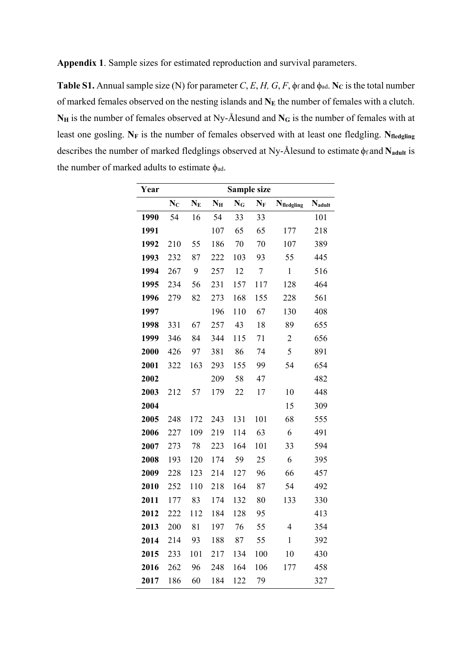**Appendix 1**. Sample sizes for estimated reproduction and survival parameters.

**Table S1.** Annual sample size (N) for parameter *C*, *E*, *H*, *G*, *F*,  $\phi$ f and  $\phi$ <sub>ad</sub>. **N**<sub>C</sub> is the total number of marked females observed on the nesting islands and N<sub>E</sub> the number of females with a clutch. N<sub>H</sub> is the number of females observed at Ny-Ålesund and N<sub>G</sub> is the number of females with at least one gosling. N<sub>F</sub> is the number of females observed with at least one fledgling. N<sub>fledgling</sub> describes the number of marked fledglings observed at Ny-Ålesund to estimate ϕf and **Nadult** is the number of marked adults to estimate  $\phi_{ad}$ .

| Year | Sample size |       |             |       |                  |                        |        |  |  |
|------|-------------|-------|-------------|-------|------------------|------------------------|--------|--|--|
|      | $N_C$       | $N_E$ | $N_{\rm H}$ | $N_G$ | $N_F$            | $N_{\text{fledgling}}$ | Nadult |  |  |
| 1990 | 54          | 16    | 54          | 33    | 33               |                        | 101    |  |  |
| 1991 |             |       | 107         | 65    | 65               | 177                    | 218    |  |  |
| 1992 | 210         | 55    | 186         | 70    | 70               | 107                    | 389    |  |  |
| 1993 | 232         | 87    | 222         | 103   | 93               | 55                     | 445    |  |  |
| 1994 | 267         | 9     | 257         | 12    | $\boldsymbol{7}$ | $\mathbf{1}$           | 516    |  |  |
| 1995 | 234         | 56    | 231         | 157   | 117              | 128                    | 464    |  |  |
| 1996 | 279         | 82    | 273         | 168   | 155              | 228                    | 561    |  |  |
| 1997 |             |       | 196         | 110   | 67               | 130                    | 408    |  |  |
| 1998 | 331         | 67    | 257         | 43    | 18               | 89                     | 655    |  |  |
| 1999 | 346         | 84    | 344         | 115   | 71               | $\overline{2}$         | 656    |  |  |
| 2000 | 426         | 97    | 381         | 86    | 74               | 5                      | 891    |  |  |
| 2001 | 322         | 163   | 293         | 155   | 99               | 54                     | 654    |  |  |
| 2002 |             |       | 209         | 58    | 47               |                        | 482    |  |  |
| 2003 | 212         | 57    | 179         | 22    | 17               | 10                     | 448    |  |  |
| 2004 |             |       |             |       |                  | 15                     | 309    |  |  |
| 2005 | 248         | 172   | 243         | 131   | 101              | 68                     | 555    |  |  |
| 2006 | 227         | 109   | 219         | 114   | 63               | 6                      | 491    |  |  |
| 2007 | 273         | 78    | 223         | 164   | 101              | 33                     | 594    |  |  |
| 2008 | 193         | 120   | 174         | 59    | 25               | 6                      | 395    |  |  |
| 2009 | 228         | 123   | 214         | 127   | 96               | 66                     | 457    |  |  |
| 2010 | 252         | 110   | 218         | 164   | 87               | 54                     | 492    |  |  |
| 2011 | 177         | 83    | 174         | 132   | 80               | 133                    | 330    |  |  |
| 2012 | 222         | 112   | 184         | 128   | 95               |                        | 413    |  |  |
| 2013 | 200         | 81    | 197         | 76    | 55               | 4                      | 354    |  |  |
| 2014 | 214         | 93    | 188         | 87    | 55               | $\mathbf{1}$           | 392    |  |  |
| 2015 | 233         | 101   | 217         | 134   | 100              | 10                     | 430    |  |  |
| 2016 | 262         | 96    | 248         | 164   | 106              | 177                    | 458    |  |  |
| 2017 | 186         | 60    | 184         | 122   | 79               |                        | 327    |  |  |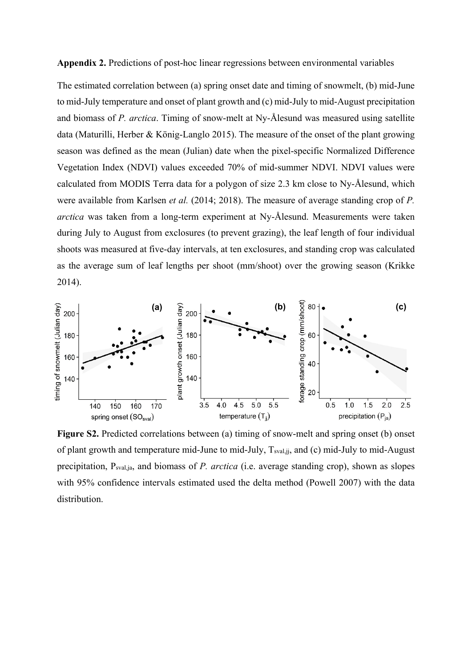**Appendix 2.** Predictions of post-hoc linear regressions between environmental variables

The estimated correlation between (a) spring onset date and timing of snowmelt, (b) mid-June to mid-July temperature and onset of plant growth and (c) mid-July to mid-August precipitation and biomass of *P. arctica*. Timing of snow-melt at Ny-Ålesund was measured using satellite data (Maturilli, Herber & König-Langlo 2015). The measure of the onset of the plant growing season was defined as the mean (Julian) date when the pixel-specific Normalized Difference Vegetation Index (NDVI) values exceeded 70% of mid-summer NDVI. NDVI values were calculated from MODIS Terra data for a polygon of size 2.3 km close to Ny-Ålesund, which were available from Karlsen *et al.* (2014; 2018). The measure of average standing crop of *P. arctica* was taken from a long-term experiment at Ny-Ålesund. Measurements were taken during July to August from exclosures (to prevent grazing), the leaf length of four individual shoots was measured at five-day intervals, at ten exclosures, and standing crop was calculated as the average sum of leaf lengths per shoot (mm/shoot) over the growing season (Krikke 2014).



**Figure S2.** Predicted correlations between (a) timing of snow-melt and spring onset (b) onset of plant growth and temperature mid-June to mid-July, Tsval,jj, and (c) mid-July to mid-August precipitation, Psval,ja, and biomass of *P. arctica* (i.e. average standing crop), shown as slopes with 95% confidence intervals estimated used the delta method (Powell 2007) with the data distribution.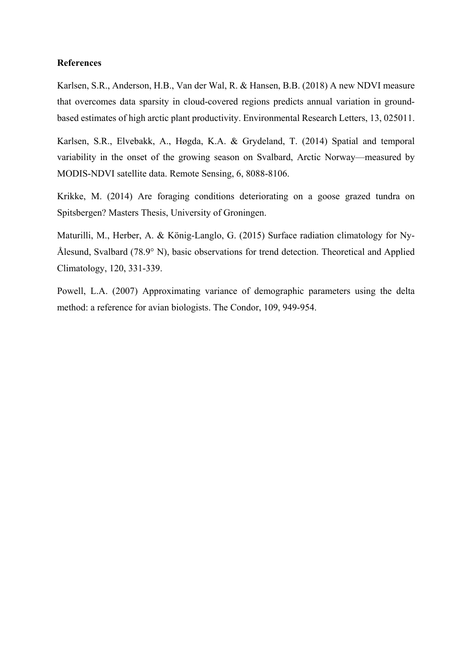#### **References**

Karlsen, S.R., Anderson, H.B., Van der Wal, R. & Hansen, B.B. (2018) A new NDVI measure that overcomes data sparsity in cloud-covered regions predicts annual variation in groundbased estimates of high arctic plant productivity. Environmental Research Letters, 13, 025011.

Karlsen, S.R., Elvebakk, A., Høgda, K.A. & Grydeland, T. (2014) Spatial and temporal variability in the onset of the growing season on Svalbard, Arctic Norway—measured by MODIS-NDVI satellite data. Remote Sensing, 6, 8088-8106.

Krikke, M. (2014) Are foraging conditions deteriorating on a goose grazed tundra on Spitsbergen? Masters Thesis, University of Groningen.

Maturilli, M., Herber, A. & König-Langlo, G. (2015) Surface radiation climatology for Ny-Ålesund, Svalbard (78.9° N), basic observations for trend detection. Theoretical and Applied Climatology, 120, 331-339.

Powell, L.A. (2007) Approximating variance of demographic parameters using the delta method: a reference for avian biologists. The Condor, 109, 949-954.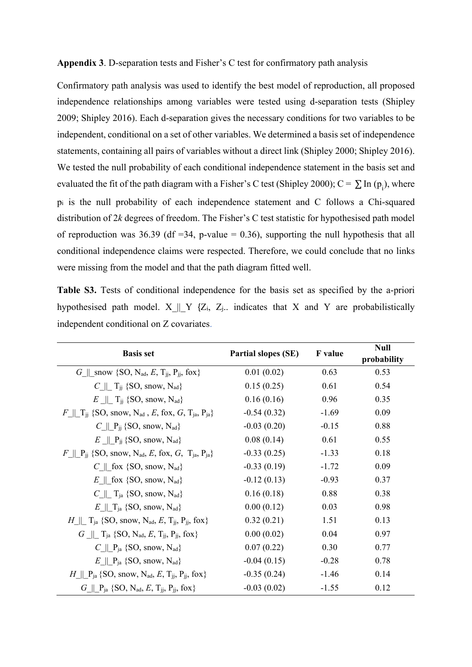**Appendix 3**. D-separation tests and Fisher's C test for confirmatory path analysis

Confirmatory path analysis was used to identify the best model of reproduction, all proposed independence relationships among variables were tested using d-separation tests (Shipley 2009; Shipley 2016). Each d-separation gives the necessary conditions for two variables to be independent, conditional on a set of other variables. We determined a basis set of independence statements, containing all pairs of variables without a direct link (Shipley 2000; Shipley 2016). We tested the null probability of each conditional independence statement in the basis set and evaluated the fit of the path diagram with a Fisher's C test (Shipley 2000); C =  $\sum$  In (p<sub>i</sub>), where pi is the null probability of each independence statement and C follows a Chi-squared distribution of 2*k* degrees of freedom. The Fisher's C test statistic for hypothesised path model of reproduction was 36.39 (df =34, p-value = 0.36), supporting the null hypothesis that all conditional independence claims were respected. Therefore, we could conclude that no links were missing from the model and that the path diagram fitted well.

**Table S3.** Tests of conditional independence for the basis set as specified by the a-priori hypothesised path model.  $X \parallel Y$  {Z<sub>i</sub>, Z<sub>j</sub>.. indicates that X and Y are probabilistically independent conditional on Z covariates.

| <b>Basis set</b>                                                                                       | <b>Partial slopes (SE)</b> | <b>F</b> value | <b>Null</b><br>probability |
|--------------------------------------------------------------------------------------------------------|----------------------------|----------------|----------------------------|
| $G \parallel$ snow {SO, N <sub>ad</sub> , E, T <sub>ii</sub> , P <sub>ii</sub> , fox}                  | 0.01(0.02)                 | 0.63           | 0.53                       |
| $C \parallel T_{ii}$ {SO, snow, N <sub>ad</sub> }                                                      | 0.15(0.25)                 | 0.61           | 0.54                       |
| $E \parallel T_{ii}$ {SO, snow, N <sub>ad</sub> }                                                      | 0.16(0.16)                 | 0.96           | 0.35                       |
| F    T <sub>ij</sub> {SO, snow, N <sub>ad</sub> , E, fox, G, T <sub>ja</sub> , P <sub>ja</sub> }       | $-0.54(0.32)$              | $-1.69$        | 0.09                       |
| $C \parallel P_{ii}$ {SO, snow, N <sub>ad</sub> }                                                      | $-0.03(0.20)$              | $-0.15$        | 0.88                       |
| $E \parallel P_{ii} \$ SO, snow, N <sub>ad</sub> }                                                     | 0.08(0.14)                 | 0.61           | 0.55                       |
| $F \parallel P_{ii}$ {SO, snow, N <sub>ad</sub> , E, fox, G, T <sub>ja</sub> , P <sub>ja</sub> }       | $-0.33(0.25)$              | $-1.33$        | 0.18                       |
| $C \parallel$ fox {SO, snow, N <sub>ad</sub> }                                                         | $-0.33(0.19)$              | $-1.72$        | 0.09                       |
| $E \parallel$ fox {SO, snow, N <sub>ad</sub> }                                                         | $-0.12(0.13)$              | $-0.93$        | 0.37                       |
| $C$ <sub>II</sub> T <sub>ja</sub> {SO, snow, N <sub>ad</sub> }                                         | 0.16(0.18)                 | 0.88           | 0.38                       |
| $E \parallel T_{ia}$ {SO, snow, N <sub>ad</sub> }                                                      | 0.00(0.12)                 | 0.03           | 0.98                       |
| $H \parallel$ T <sub>ia</sub> {SO, snow, N <sub>ad</sub> , E, T <sub>ii</sub> , P <sub>ii</sub> , fox} | 0.32(0.21)                 | 1.51           | 0.13                       |
| $G \parallel T_{ia} \{SO, N_{ad}, E, T_{ii}, P_{ii}, f \infty \}$                                      | 0.00(0.02)                 | 0.04           | 0.97                       |
| $C \parallel P_{ia}$ {SO, snow, N <sub>ad</sub> }                                                      | 0.07(0.22)                 | 0.30           | 0.77                       |
| $E \parallel P_{ia}$ {SO, snow, N <sub>ad</sub> }                                                      | $-0.04(0.15)$              | $-0.28$        | 0.78                       |
| H    $P_{ia}$ {SO, snow, N <sub>ad</sub> , E, T <sub>ii</sub> , P <sub>ii</sub> , fox}                 | $-0.35(0.24)$              | $-1.46$        | 0.14                       |
| $G \parallel P_{ia} \{SO, N_{ad}, E, T_{ii}, P_{ii}, f \infty \}$                                      | $-0.03(0.02)$              | $-1.55$        | 0.12                       |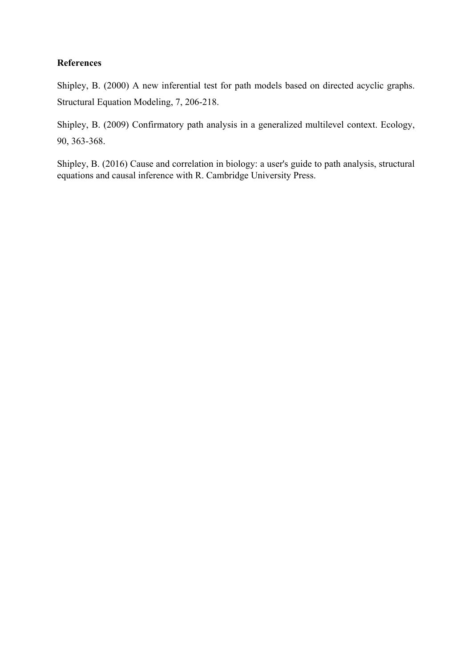## **References**

Shipley, B. (2000) A new inferential test for path models based on directed acyclic graphs. Structural Equation Modeling, 7, 206-218.

Shipley, B. (2009) Confirmatory path analysis in a generalized multilevel context. Ecology, 90, 363-368.

Shipley, B. (2016) Cause and correlation in biology: a user's guide to path analysis, structural equations and causal inference with R. Cambridge University Press.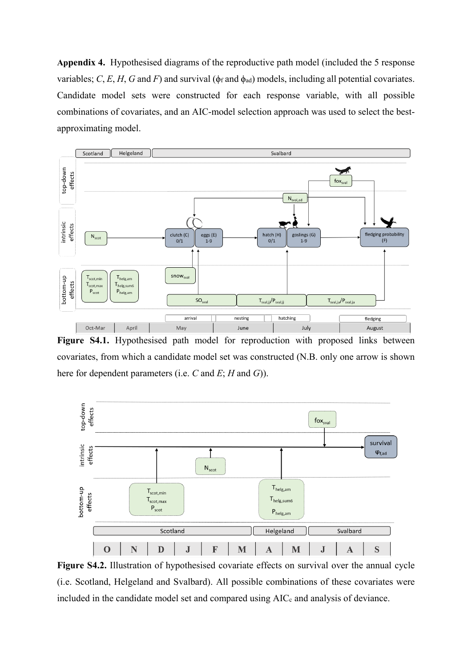**Appendix 4.** Hypothesised diagrams of the reproductive path model (included the 5 response variables; *C*, *E*, *H*, *G* and *F*) and survival ( $\phi_f$  and  $\phi_{ad}$ ) models, including all potential covariates. Candidate model sets were constructed for each response variable, with all possible combinations of covariates, and an AIC-model selection approach was used to select the bestapproximating model.



**Figure S4.1.** Hypothesised path model for reproduction with proposed links between covariates, from which a candidate model set was constructed (N.B. only one arrow is shown here for dependent parameters (i.e. *C* and *E*; *H* and *G*)).



**Figure S4.2.** Illustration of hypothesised covariate effects on survival over the annual cycle (i.e. Scotland, Helgeland and Svalbard). All possible combinations of these covariates were included in the candidate model set and compared using AIC<sub>c</sub> and analysis of deviance.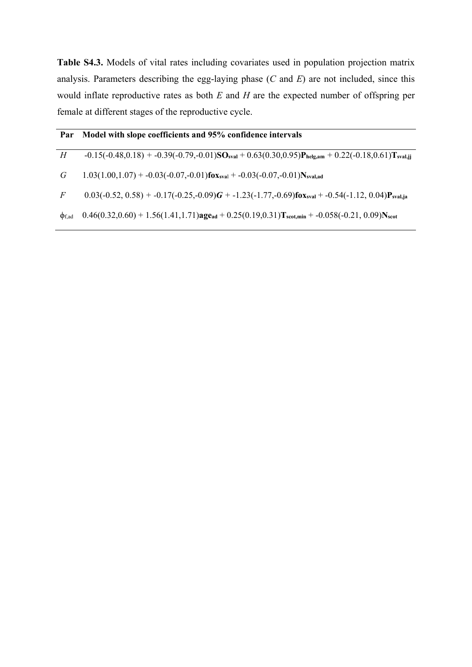**Table S4.3.** Models of vital rates including covariates used in population projection matrix analysis. Parameters describing the egg-laying phase (*C* and *E*) are not included, since this would inflate reproductive rates as both *E* and *H* are the expected number of offspring per female at different stages of the reproductive cycle.

| Par            | Model with slope coefficients and 95% confidence intervals                                                                                         |
|----------------|----------------------------------------------------------------------------------------------------------------------------------------------------|
| H              | $-0.15(-0.48, 0.18) + -0.39(-0.79, -0.01)$ SO <sub>sval</sub> $+ 0.63(0.30, 0.95)$ P <sub>helg,am</sub> $+ 0.22(-0.18, 0.61)$ T <sub>sval,ij</sub> |
| G              | $1.03(1.00,1.07) + -0.03(-0.07,-0.01)$ fox <sub>syal</sub> + -0.03(-0.07,-0.01) N <sub>syal.ad</sub>                                               |
| $\overline{F}$ | $0.03(-0.52, 0.58) + -0.17(-0.25, -0.09)G + -1.23(-1.77, -0.69)$ fox <sub>sval</sub> + -0.54(-1.12, 0.04)P <sub>sval,ja</sub>                      |
| $\Phi$ f,ad    | $0.46(0.32,0.60) + 1.56(1.41,1.71)$ age <sub>ad</sub> + $0.25(0.19,0.31)$ T <sub>scot,min</sub> + -0.058(-0.21, 0.09)N <sub>scot</sub>             |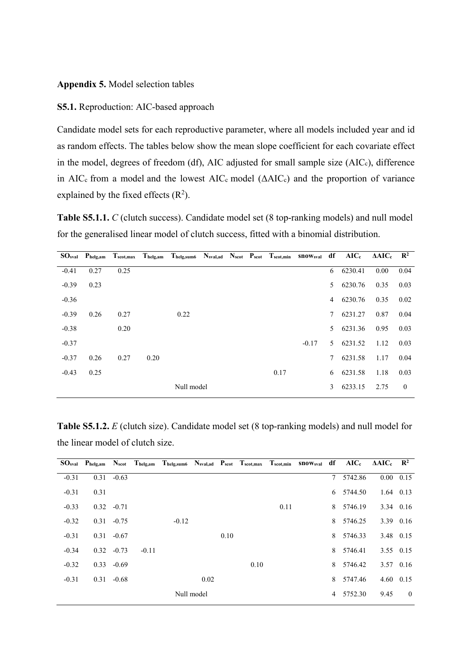#### **Appendix 5.** Model selection tables

#### **S5.1.** Reproduction: AIC-based approach

Candidate model sets for each reproductive parameter, where all models included year and id as random effects. The tables below show the mean slope coefficient for each covariate effect in the model, degrees of freedom (df), AIC adjusted for small sample size (AICc), difference in AIC<sub>c</sub> from a model and the lowest AIC<sub>c</sub> model  $(AAIC<sub>c</sub>)$  and the proportion of variance explained by the fixed effects  $(R^2)$ .

**Table S5.1.1.** *C* (clutch success). Candidate model set (8 top-ranking models) and null model for the generalised linear model of clutch success, fitted with a binomial distribution.

| $\mathbf{SO}_{\mathbf{sval}}$ | $P_{helg,am}$ | $T_{\text{scot,max}}$ | $T_{helg,am}$ | Thelg, sum6 Nsval, ad Nscot Pscot Tscot, min SnOWsval |  |      |         | df | $AIC_c$ | $\triangle AIC_c$ $\mathbb{R}^2$ |                |
|-------------------------------|---------------|-----------------------|---------------|-------------------------------------------------------|--|------|---------|----|---------|----------------------------------|----------------|
| $-0.41$                       | 0.27          | 0.25                  |               |                                                       |  |      |         | 6  | 6230.41 | 0.00                             | 0.04           |
| $-0.39$                       | 0.23          |                       |               |                                                       |  |      |         | 5  | 6230.76 | 0.35                             | 0.03           |
| $-0.36$                       |               |                       |               |                                                       |  |      |         | 4  | 6230.76 | 0.35                             | 0.02           |
| $-0.39$                       | 0.26          | 0.27                  |               | 0.22                                                  |  |      |         | 7  | 6231.27 | 0.87                             | 0.04           |
| $-0.38$                       |               | 0.20                  |               |                                                       |  |      |         | 5. | 6231.36 | 0.95                             | 0.03           |
| $-0.37$                       |               |                       |               |                                                       |  |      | $-0.17$ | 5  | 6231.52 | 1.12                             | 0.03           |
| $-0.37$                       | 0.26          | 0.27                  | 0.20          |                                                       |  |      |         | 7  | 6231.58 | 1.17                             | 0.04           |
| $-0.43$                       | 0.25          |                       |               |                                                       |  | 0.17 |         | 6  | 6231.58 | 1.18                             | 0.03           |
|                               |               |                       |               | Null model                                            |  |      |         | 3  | 6233.15 | 2.75                             | $\overline{0}$ |

**Table S5.1.2.** *E* (clutch size). Candidate model set (8 top-ranking models) and null model for the linear model of clutch size.

|         |      |               |         | SO <sub>sval</sub> Phelg,am Nscot Thelg,am Thelg,sum6 Nsval,ad Pscot Tscot,max Tscot,min SnOWsval df AICc AAICc R <sup>2</sup> |            |      |      |      |   |           |                   |                |
|---------|------|---------------|---------|--------------------------------------------------------------------------------------------------------------------------------|------------|------|------|------|---|-----------|-------------------|----------------|
| $-0.31$ | 0.31 | $-0.63$       |         |                                                                                                                                |            |      |      |      | 7 | 5742.86   | $0.00 \quad 0.15$ |                |
| $-0.31$ | 0.31 |               |         |                                                                                                                                |            |      |      |      |   | 6 5744.50 | $1.64$ 0.13       |                |
| $-0.33$ |      | $0.32 -0.71$  |         |                                                                                                                                |            |      |      | 0.11 |   | 8 5746.19 |                   | $3.34$ 0.16    |
| $-0.32$ |      | $0.31 - 0.75$ |         | $-0.12$                                                                                                                        |            |      |      |      | 8 | 5746.25   | 3.39 0.16         |                |
| $-0.31$ | 0.31 | $-0.67$       |         |                                                                                                                                |            | 0.10 |      |      | 8 | 5746.33   | 3.48 0.15         |                |
| $-0.34$ |      | $0.32 -0.73$  | $-0.11$ |                                                                                                                                |            |      |      |      | 8 | 5746.41   | 3.55 0.15         |                |
| $-0.32$ |      | $0.33 - 0.69$ |         |                                                                                                                                |            |      | 0.10 |      | 8 | 5746.42   |                   | 3.57 0.16      |
| $-0.31$ | 0.31 | $-0.68$       |         |                                                                                                                                | 0.02       |      |      |      | 8 | 5747.46   | $4.60$ $0.15$     |                |
|         |      |               |         |                                                                                                                                | Null model |      |      |      |   | 4 5752.30 | 9.45              | $\overline{0}$ |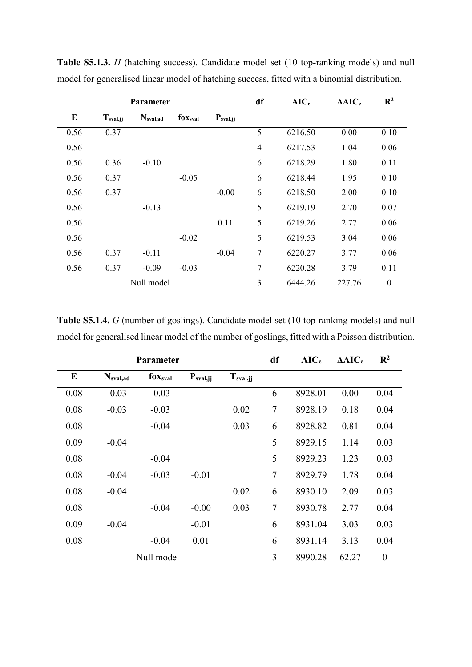|      |               | <b>Parameter</b> |                 |               | df             | $AIC_c$ | $\Delta AIC_c$ | $\mathbb{R}^2$   |
|------|---------------|------------------|-----------------|---------------|----------------|---------|----------------|------------------|
| E    | $T_{sval,jj}$ | $N_{sval,ad}$    | $f_{0X_{sval}}$ | $P_{sval,jj}$ |                |         |                |                  |
| 0.56 | 0.37          |                  |                 |               | 5              | 6216.50 | 0.00           | 0.10             |
| 0.56 |               |                  |                 |               | $\overline{4}$ | 6217.53 | 1.04           | 0.06             |
| 0.56 | 0.36          | $-0.10$          |                 |               | 6              | 6218.29 | 1.80           | 0.11             |
| 0.56 | 0.37          |                  | $-0.05$         |               | 6              | 6218.44 | 1.95           | 0.10             |
| 0.56 | 0.37          |                  |                 | $-0.00$       | 6              | 6218.50 | 2.00           | 0.10             |
| 0.56 |               | $-0.13$          |                 |               | 5              | 6219.19 | 2.70           | 0.07             |
| 0.56 |               |                  |                 | 0.11          | 5              | 6219.26 | 2.77           | 0.06             |
| 0.56 |               |                  | $-0.02$         |               | 5              | 6219.53 | 3.04           | 0.06             |
| 0.56 | 0.37          | $-0.11$          |                 | $-0.04$       | 7              | 6220.27 | 3.77           | 0.06             |
| 0.56 | 0.37          | $-0.09$          | $-0.03$         |               | 7              | 6220.28 | 3.79           | 0.11             |
|      |               | Null model       |                 |               | 3              | 6444.26 | 227.76         | $\boldsymbol{0}$ |
|      |               |                  |                 |               |                |         |                |                  |

**Table S5.1.3.** *H* (hatching success). Candidate model set (10 top-ranking models) and null model for generalised linear model of hatching success, fitted with a binomial distribution.

**Table S5.1.4.** *G* (number of goslings). Candidate model set (10 top-ranking models) and null model for generalised linear model of the number of goslings, fitted with a Poisson distribution.

|      |                      | Parameter           |               | df                   | $AIC_c$ | $\Delta AIC_c$ | $\mathbb{R}^2$ |                  |
|------|----------------------|---------------------|---------------|----------------------|---------|----------------|----------------|------------------|
| E    | N <sub>sval,ad</sub> | fox <sub>sval</sub> | $P_{sval,jj}$ | T <sub>sval,jj</sub> |         |                |                |                  |
| 0.08 | $-0.03$              | $-0.03$             |               |                      | 6       | 8928.01        | 0.00           | 0.04             |
| 0.08 | $-0.03$              | $-0.03$             |               | 0.02                 | $\tau$  | 8928.19        | 0.18           | 0.04             |
| 0.08 |                      | $-0.04$             |               | 0.03                 | 6       | 8928.82        | 0.81           | 0.04             |
| 0.09 | $-0.04$              |                     |               |                      | 5       | 8929.15        | 1.14           | 0.03             |
| 0.08 |                      | $-0.04$             |               |                      | 5       | 8929.23        | 1.23           | 0.03             |
| 0.08 | $-0.04$              | $-0.03$             | $-0.01$       |                      | $\tau$  | 8929.79        | 1.78           | 0.04             |
| 0.08 | $-0.04$              |                     |               | 0.02                 | 6       | 8930.10        | 2.09           | 0.03             |
| 0.08 |                      | $-0.04$             | $-0.00$       | 0.03                 | $\tau$  | 8930.78        | 2.77           | 0.04             |
| 0.09 | $-0.04$              |                     | $-0.01$       |                      | 6       | 8931.04        | 3.03           | 0.03             |
| 0.08 |                      | $-0.04$             | 0.01          |                      | 6       | 8931.14        | 3.13           | 0.04             |
|      |                      | Null model          |               |                      | 3       | 8990.28        | 62.27          | $\boldsymbol{0}$ |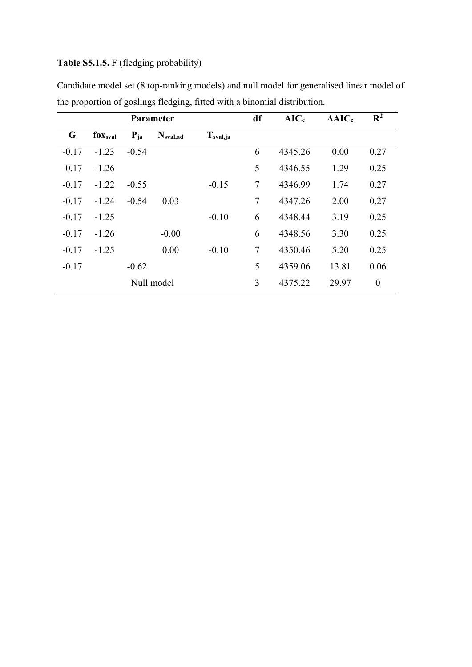## **Table S5.1.5.** F (fledging probability)

|         |                 |          | <b>Parameter</b> |               | df             | $AIC_c$ | $\Delta AIC_c$ | $\mathbb{R}^2$   |
|---------|-----------------|----------|------------------|---------------|----------------|---------|----------------|------------------|
| G       | $f_{0X_{sval}}$ | $P_{ja}$ | $N_{sval,ad}$    | $T_{sval,ja}$ |                |         |                |                  |
| $-0.17$ | $-1.23$         | $-0.54$  |                  |               | 6              | 4345.26 | 0.00           | 0.27             |
| $-0.17$ | $-1.26$         |          |                  |               | 5              | 4346.55 | 1.29           | 0.25             |
| $-0.17$ | $-1.22$         | $-0.55$  |                  | $-0.15$       | $\overline{7}$ | 4346.99 | 1.74           | 0.27             |
| $-0.17$ | $-1.24$         | $-0.54$  | 0.03             |               | 7              | 4347.26 | 2.00           | 0.27             |
| $-0.17$ | $-1.25$         |          |                  | $-0.10$       | 6              | 4348.44 | 3.19           | 0.25             |
| $-0.17$ | $-1.26$         |          | $-0.00$          |               | 6              | 4348.56 | 3.30           | 0.25             |
| $-0.17$ | $-1.25$         |          | 0.00             | $-0.10$       | $\overline{7}$ | 4350.46 | 5.20           | 0.25             |
| $-0.17$ |                 | $-0.62$  |                  |               | 5              | 4359.06 | 13.81          | 0.06             |
|         |                 |          | Null model       |               | 3              | 4375.22 | 29.97          | $\boldsymbol{0}$ |

Candidate model set (8 top-ranking models) and null model for generalised linear model of the proportion of goslings fledging, fitted with a binomial distribution.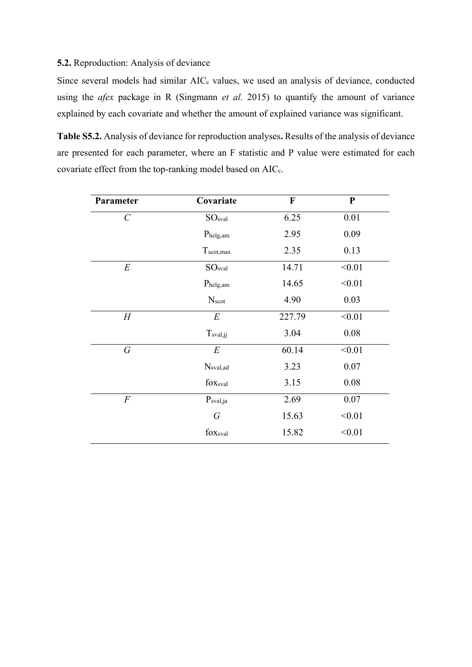## **5.2.** Reproduction: Analysis of deviance

Since several models had similar AIC<sub>c</sub> values, we used an analysis of deviance, conducted using the *afex* package in R (Singmann *et al.* 2015) to quantify the amount of variance explained by each covariate and whether the amount of explained variance was significant.

**Table S5.2.** Analysis of deviance for reproduction analyses**.** Results of the analysis of deviance are presented for each parameter, where an F statistic and P value were estimated for each covariate effect from the top-ranking model based on AIC<sub>c</sub>.

| Parameter             | Covariate             | $\boldsymbol{\mathrm{F}}$ | $\mathbf{P}$ |
|-----------------------|-----------------------|---------------------------|--------------|
| $\mathcal{C}_{0}^{0}$ | SO <sub>sval</sub>    | 6.25                      | 0.01         |
|                       | Phelg, am             | 2.95                      | 0.09         |
|                       | $T_{\text{scot,max}}$ | 2.35                      | 0.13         |
| $E_{\rm}$             | SO <sub>sval</sub>    | 14.71                     | < 0.01       |
|                       | Phelg, am             | 14.65                     | < 0.01       |
|                       | Nscot                 | 4.90                      | 0.03         |
| $H_{\rm}$             | $E_{\rm}$             | 227.79                    | < 0.01       |
|                       | $T_{sval,jj}$         | 3.04                      | 0.08         |
| $\, G \,$             | $E_{\rm}$             | 60.14                     | < 0.01       |
|                       | $N_{sval,ad}$         | 3.23                      | 0.07         |
|                       | foxsval               | 3.15                      | 0.08         |
| $\overline{F}$        | $P_{sval,ja}$         | 2.69                      | 0.07         |
|                       | $\, G \,$             | 15.63                     | < 0.01       |
|                       | foxsval               | 15.82                     | < 0.01       |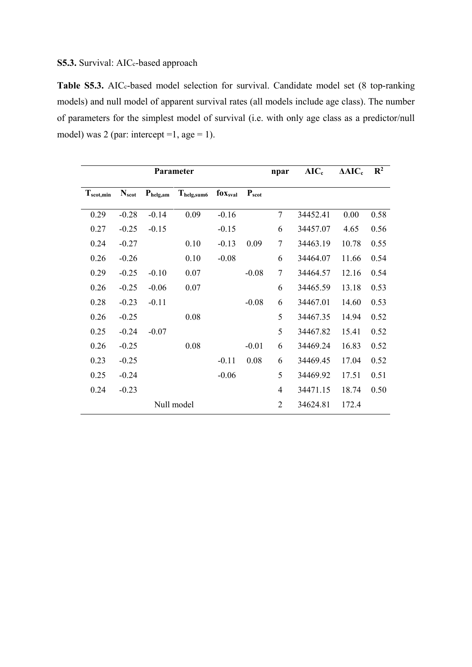Table S5.3. AIC<sub>c</sub>-based model selection for survival. Candidate model set (8 top-ranking models) and null model of apparent survival rates (all models include age class). The number of parameters for the simplest model of survival (i.e. with only age class as a predictor/null model) was 2 (par: intercept = 1, age = 1).

|                       |            |               | Parameter        |                 | npar       | $AIC_c$                  | $\Delta AIC_c$ | $\mathbf{R}^2$ |      |
|-----------------------|------------|---------------|------------------|-----------------|------------|--------------------------|----------------|----------------|------|
| $T_{\text{scot,min}}$ | $N_{scot}$ | $P_{helg,am}$ | $T_{helg, sum6}$ | $f_{0X_{sval}}$ | $P_{scot}$ |                          |                |                |      |
| 0.29                  | $-0.28$    | $-0.14$       | 0.09             | $-0.16$         |            | 7                        | 34452.41       | 0.00           | 0.58 |
| 0.27                  | $-0.25$    | $-0.15$       |                  | $-0.15$         |            | 6                        | 34457.07       | 4.65           | 0.56 |
| 0.24                  | $-0.27$    |               | 0.10             | $-0.13$         | 0.09       | 7                        | 34463.19       | 10.78          | 0.55 |
| 0.26                  | $-0.26$    |               | 0.10             | $-0.08$         |            | 6                        | 34464.07       | 11.66          | 0.54 |
| 0.29                  | $-0.25$    | $-0.10$       | 0.07             |                 | $-0.08$    | 7                        | 34464.57       | 12.16          | 0.54 |
| 0.26                  | $-0.25$    | $-0.06$       | 0.07             |                 |            | 6                        | 34465.59       | 13.18          | 0.53 |
| 0.28                  | $-0.23$    | $-0.11$       |                  |                 | $-0.08$    | 6                        | 34467.01       | 14.60          | 0.53 |
| 0.26                  | $-0.25$    |               | 0.08             |                 |            | 5                        | 34467.35       | 14.94          | 0.52 |
| 0.25                  | $-0.24$    | $-0.07$       |                  |                 |            | 5                        | 34467.82       | 15.41          | 0.52 |
| 0.26                  | $-0.25$    |               | 0.08             |                 | $-0.01$    | 6                        | 34469.24       | 16.83          | 0.52 |
| 0.23                  | $-0.25$    |               |                  | $-0.11$         | 0.08       | 6                        | 34469.45       | 17.04          | 0.52 |
| 0.25                  | $-0.24$    |               |                  | $-0.06$         |            | 5                        | 34469.92       | 17.51          | 0.51 |
| 0.24                  | $-0.23$    |               |                  |                 |            | $\overline{\mathcal{L}}$ | 34471.15       | 18.74          | 0.50 |
|                       |            |               | Null model       |                 |            | $\overline{2}$           | 34624.81       | 172.4          |      |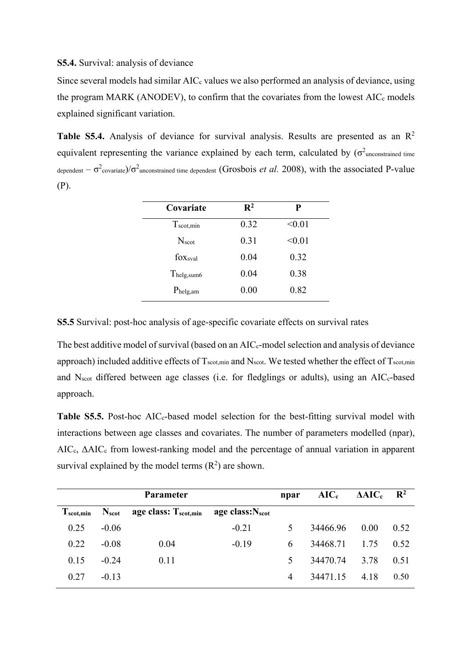#### **S5.4.** Survival: analysis of deviance

Since several models had similar  $AIC_c$  values we also performed an analysis of deviance, using the program MARK (ANODEV), to confirm that the covariates from the lowest AIC<sub>c</sub> models explained significant variation.

Table S5.4. Analysis of deviance for survival analysis. Results are presented as an R<sup>2</sup> equivalent representing the variance explained by each term, calculated by  $(\sigma^2)$ unconstrained time dependent  $-\sigma^2$ covariate)/ $\sigma^2$ unconstrained time dependent (Grosbois *et al.* 2008), with the associated P-value (P).

| Covariate             | $\mathbf{R}^2$ | P      |
|-----------------------|----------------|--------|
| $T_{\text{scot,min}}$ | 0.32           | < 0.01 |
| N <sub>scot</sub>     | 0.31           | < 0.01 |
| foxsval               | 0.04           | 0.32   |
| Thelg,sum6            | 0.04           | 0.38   |
| $P_{helg,am}$         | 0.00           | 0.82   |

**S5.5** Survival: post-hoc analysis of age-specific covariate effects on survival rates

The best additive model of survival (based on an AIC<sub>c</sub>-model selection and analysis of deviance approach) included additive effects of  $T_{\text{scot,min}}$  and  $N_{\text{scot}}$ . We tested whether the effect of  $T_{\text{scot,min}}$ and N<sub>scot</sub> differed between age classes (i.e. for fledglings or adults), using an AIC<sub>c</sub>-based approach.

Table S5.5. Post-hoc AIC<sub>c</sub>-based model selection for the best-fitting survival model with interactions between age classes and covariates. The number of parameters modelled (npar), AICc, ΔAIC<sup>c</sup> from lowest-ranking model and the percentage of annual variation in apparent survival explained by the model terms  $(R^2)$  are shown.

|                    |                | <b>Parameter</b>                 |                       | npar | $AIC_c$  | $\triangle AIC_c$ | $\mathbf{R}^2$ |
|--------------------|----------------|----------------------------------|-----------------------|------|----------|-------------------|----------------|
| $T_{\rm scot,min}$ | $N_{\rm scot}$ | age class: $T_{\text{scot,min}}$ | age class: $N_{scot}$ |      |          |                   |                |
| 0.25               | $-0.06$        |                                  | $-0.21$               | 5.   | 34466.96 | 0.00              | 0.52           |
| 0.22               | $-0.08$        | 0.04                             | $-0.19$               | 6    | 34468.71 | 1.75              | 0.52           |
| 0.15               | $-0.24$        | 0.11                             |                       | 5    | 34470.74 | 3.78              | 0.51           |
| 0.27               | $-0.13$        |                                  |                       | 4    | 34471.15 | 4.18              | 0.50           |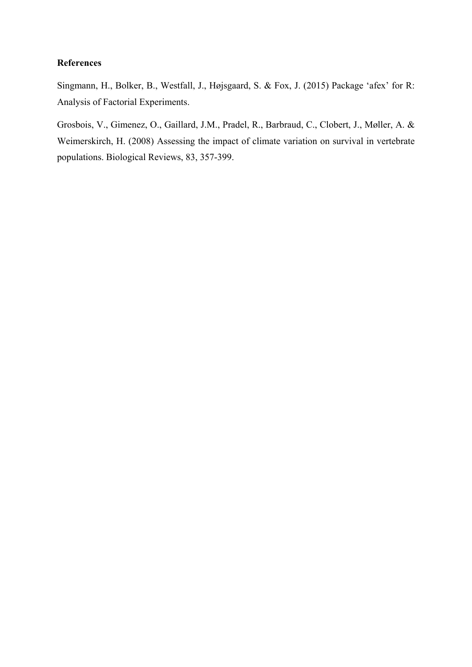### **References**

Singmann, H., Bolker, B., Westfall, J., Højsgaard, S. & Fox, J. (2015) Package 'afex' for R: Analysis of Factorial Experiments.

Grosbois, V., Gimenez, O., Gaillard, J.M., Pradel, R., Barbraud, C., Clobert, J., Møller, A. & Weimerskirch, H. (2008) Assessing the impact of climate variation on survival in vertebrate populations. Biological Reviews, 83, 357-399.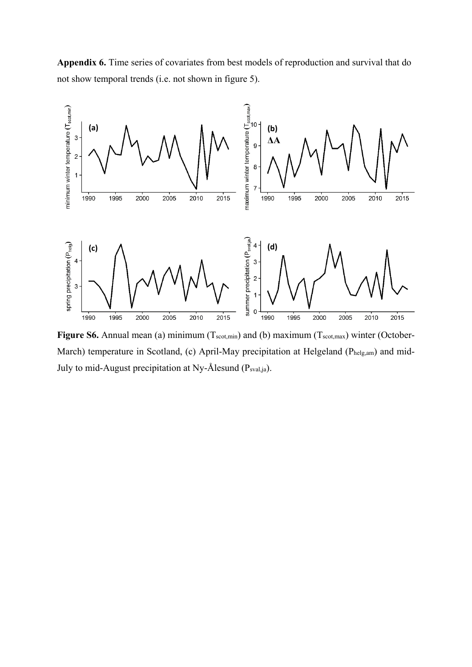**Appendix 6.** Time series of covariates from best models of reproduction and survival that do not show temporal trends (i.e. not shown in figure 5).



Figure S6. Annual mean (a) minimum (Tscot,min) and (b) maximum (Tscot,max) winter (October-March) temperature in Scotland, (c) April-May precipitation at Helgeland (Phelg,am) and mid-July to mid-August precipitation at Ny-Ålesund (Psval,ja).